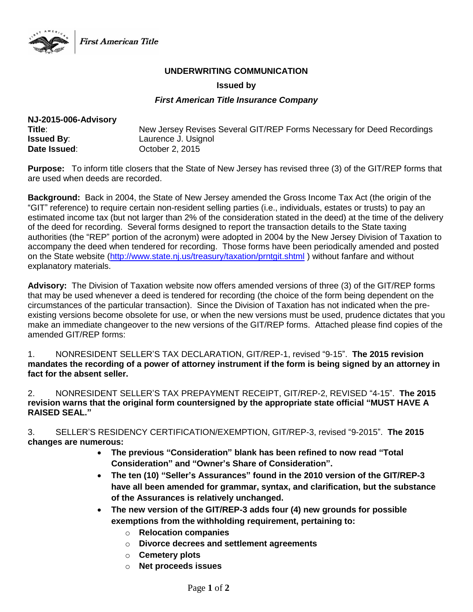

First American Title

## **UNDERWRITING COMMUNICATION**

#### **Issued by**

### *First American Title Insurance Company*

| NJ-2015-006-Advisory |                                                                        |
|----------------------|------------------------------------------------------------------------|
| Title∶               | New Jersey Revises Several GIT/REP Forms Necessary for Deed Recordings |
| <b>Issued By:</b>    | Laurence J. Usignol                                                    |
| Date Issued:         | October 2, 2015                                                        |

**Purpose:** To inform title closers that the State of New Jersey has revised three (3) of the GIT/REP forms that are used when deeds are recorded.

**Background:** Back in 2004, the State of New Jersey amended the Gross Income Tax Act (the origin of the "GIT" reference) to require certain non-resident selling parties (i.e., individuals, estates or trusts) to pay an estimated income tax (but not larger than 2% of the consideration stated in the deed) at the time of the delivery of the deed for recording. Several forms designed to report the transaction details to the State taxing authorities (the "REP" portion of the acronym) were adopted in 2004 by the New Jersey Division of Taxation to accompany the deed when tendered for recording. Those forms have been periodically amended and posted on the State website [\(http://www.state.nj.us/treasury/taxation/prntgit.shtml](http://www.state.nj.us/treasury/taxation/prntgit.shtml) ) without fanfare and without explanatory materials.

**Advisory:** The Division of Taxation website now offers amended versions of three (3) of the GIT/REP forms that may be used whenever a deed is tendered for recording (the choice of the form being dependent on the circumstances of the particular transaction). Since the Division of Taxation has not indicated when the preexisting versions become obsolete for use, or when the new versions must be used, prudence dictates that you make an immediate changeover to the new versions of the GIT/REP forms. Attached please find copies of the amended GIT/REP forms:

1. NONRESIDENT SELLER'S TAX DECLARATION, GIT/REP-1, revised "9-15". **The 2015 revision mandates the recording of a power of attorney instrument if the form is being signed by an attorney in fact for the absent seller.**

2. NONRESIDENT SELLER'S TAX PREPAYMENT RECEIPT, GIT/REP-2, REVISED "4-15". **The 2015 revision warns that the original form countersigned by the appropriate state official "MUST HAVE A RAISED SEAL."**

3. SELLER'S RESIDENCY CERTIFICATION/EXEMPTION, GIT/REP-3, revised "9-2015". **The 2015 changes are numerous:**

- **The previous "Consideration" blank has been refined to now read "Total Consideration" and "Owner's Share of Consideration".**
- **The ten (10) "Seller's Assurances" found in the 2010 version of the GIT/REP-3 have all been amended for grammar, syntax, and clarification, but the substance of the Assurances is relatively unchanged.**
- **The new version of the GIT/REP-3 adds four (4) new grounds for possible exemptions from the withholding requirement, pertaining to:** 
	- o **Relocation companies**
	- o **Divorce decrees and settlement agreements**
	- o **Cemetery plots**
	- o **Net proceeds issues**